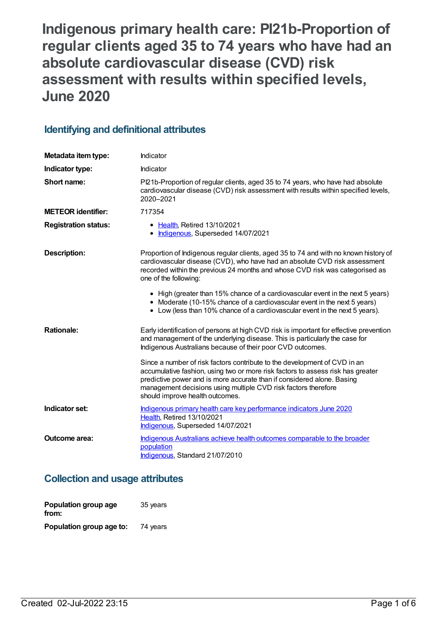**Indigenous primary health care: PI21b-Proportion of regular clients aged 35 to 74 years who have had an absolute cardiovascular disease (CVD) risk assessment with results within specified levels, June 2020**

## **Identifying and definitional attributes**

| Metadata item type:         | Indicator                                                                                                                                                                                                                                                                                                                                   |
|-----------------------------|---------------------------------------------------------------------------------------------------------------------------------------------------------------------------------------------------------------------------------------------------------------------------------------------------------------------------------------------|
| Indicator type:             | Indicator                                                                                                                                                                                                                                                                                                                                   |
| Short name:                 | Pl21b-Proportion of regular clients, aged 35 to 74 years, who have had absolute<br>cardiovascular disease (CVD) risk assessment with results within specified levels,<br>2020-2021                                                                                                                                                          |
| <b>METEOR identifier:</b>   | 717354                                                                                                                                                                                                                                                                                                                                      |
| <b>Registration status:</b> | • Health, Retired 13/10/2021<br>Indigenous, Superseded 14/07/2021                                                                                                                                                                                                                                                                           |
| <b>Description:</b>         | Proportion of Indigenous regular clients, aged 35 to 74 and with no known history of<br>cardiovascular disease (CVD), who have had an absolute CVD risk assessment<br>recorded within the previous 24 months and whose CVD risk was categorised as<br>one of the following:                                                                 |
|                             | • High (greater than 15% chance of a cardiovascular event in the next 5 years)<br>• Moderate (10-15% chance of a cardiovascular event in the next 5 years)<br>• Low (less than 10% chance of a cardiovascular event in the next 5 years).                                                                                                   |
| <b>Rationale:</b>           | Early identification of persons at high CVD risk is important for effective prevention<br>and management of the underlying disease. This is particularly the case for<br>Indigenous Australians because of their poor CVD outcomes.                                                                                                         |
|                             | Since a number of risk factors contribute to the development of CVD in an<br>accumulative fashion, using two or more risk factors to assess risk has greater<br>predictive power and is more accurate than if considered alone. Basing<br>management decisions using multiple CVD risk factors therefore<br>should improve health outcomes. |
| Indicator set:              | Indigenous primary health care key performance indicators June 2020<br>Health, Retired 13/10/2021<br>Indigenous, Superseded 14/07/2021                                                                                                                                                                                                      |
| <b>Outcome area:</b>        | Indigenous Australians achieve health outcomes comparable to the broader<br>population<br>Indigenous, Standard 21/07/2010                                                                                                                                                                                                                   |

### **Collection and usage attributes**

| Population group age<br>from: | 35 years |
|-------------------------------|----------|
| Population group age to:      | 74 years |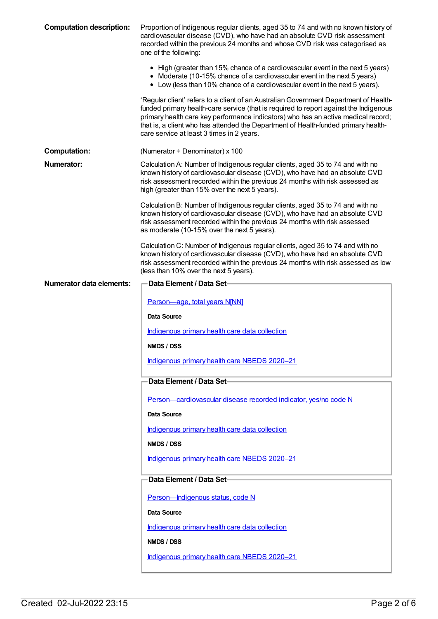| <b>Computation description:</b> | Proportion of Indigenous regular clients, aged 35 to 74 and with no known history of<br>cardiovascular disease (CVD), who have had an absolute CVD risk assessment<br>recorded within the previous 24 months and whose CVD risk was categorised as<br>one of the following:                                                                                                                            |
|---------------------------------|--------------------------------------------------------------------------------------------------------------------------------------------------------------------------------------------------------------------------------------------------------------------------------------------------------------------------------------------------------------------------------------------------------|
|                                 | • High (greater than 15% chance of a cardiovascular event in the next 5 years)<br>• Moderate (10-15% chance of a cardiovascular event in the next 5 years)<br>• Low (less than 10% chance of a cardiovascular event in the next 5 years).                                                                                                                                                              |
|                                 | 'Regular client' refers to a client of an Australian Government Department of Health-<br>funded primary health-care service (that is required to report against the Indigenous<br>primary health care key performance indicators) who has an active medical record;<br>that is, a client who has attended the Department of Health-funded primary health-<br>care service at least 3 times in 2 years. |
| <b>Computation:</b>             | (Numerator $\div$ Denominator) x 100                                                                                                                                                                                                                                                                                                                                                                   |
| Numerator:                      | Calculation A: Number of Indigenous regular clients, aged 35 to 74 and with no<br>known history of cardiovascular disease (CVD), who have had an absolute CVD<br>risk assessment recorded within the previous 24 months with risk assessed as<br>high (greater than 15% over the next 5 years).                                                                                                        |
|                                 | Calculation B: Number of Indigenous regular clients, aged 35 to 74 and with no<br>known history of cardiovascular disease (CVD), who have had an absolute CVD<br>risk assessment recorded within the previous 24 months with risk assessed<br>as moderate (10-15% over the next 5 years).                                                                                                              |
|                                 | Calculation C: Number of Indigenous regular clients, aged 35 to 74 and with no<br>known history of cardiovascular disease (CVD), who have had an absolute CVD<br>risk assessment recorded within the previous 24 months with risk assessed as low<br>(less than 10% over the next 5 years).                                                                                                            |
| <b>Numerator data elements:</b> | <b>Data Element / Data Set-</b>                                                                                                                                                                                                                                                                                                                                                                        |
|                                 | Person-age, total years N[NN]                                                                                                                                                                                                                                                                                                                                                                          |
|                                 | Data Source                                                                                                                                                                                                                                                                                                                                                                                            |
|                                 | Indigenous primary health care data collection                                                                                                                                                                                                                                                                                                                                                         |
|                                 | NMDS / DSS                                                                                                                                                                                                                                                                                                                                                                                             |
|                                 | Indigenous primary health care NBEDS 2020-21                                                                                                                                                                                                                                                                                                                                                           |
|                                 | Data Element / Data Set-                                                                                                                                                                                                                                                                                                                                                                               |
|                                 | Person-cardiovascular disease recorded indicator, yes/no code N                                                                                                                                                                                                                                                                                                                                        |
|                                 | <b>Data Source</b>                                                                                                                                                                                                                                                                                                                                                                                     |
|                                 | Indigenous primary health care data collection                                                                                                                                                                                                                                                                                                                                                         |
|                                 | NMDS / DSS                                                                                                                                                                                                                                                                                                                                                                                             |
|                                 | Indigenous primary health care NBEDS 2020-21                                                                                                                                                                                                                                                                                                                                                           |
|                                 | Data Element / Data Set                                                                                                                                                                                                                                                                                                                                                                                |
|                                 | Person-Indigenous status, code N                                                                                                                                                                                                                                                                                                                                                                       |
|                                 | Data Source                                                                                                                                                                                                                                                                                                                                                                                            |
|                                 | Indigenous primary health care data collection                                                                                                                                                                                                                                                                                                                                                         |
|                                 | NMDS / DSS                                                                                                                                                                                                                                                                                                                                                                                             |
|                                 | Indigenous primary health care NBEDS 2020-21                                                                                                                                                                                                                                                                                                                                                           |
|                                 |                                                                                                                                                                                                                                                                                                                                                                                                        |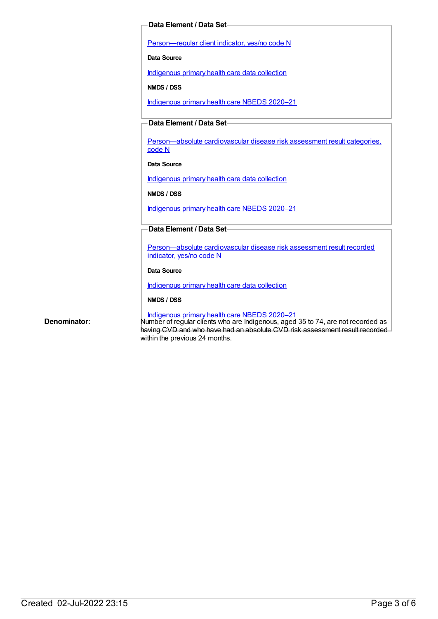#### **Data Element / Data Set**

[Person—regular](https://meteor.aihw.gov.au/content/686291) client indicator, yes/no code N

**Data Source**

[Indigenous](https://meteor.aihw.gov.au/content/430643) primary health care data collection

**NMDS / DSS**

[Indigenous](https://meteor.aihw.gov.au/content/715320) primary health care NBEDS 2020–21

#### **Data Element / Data Set**

[Person—absolute](https://meteor.aihw.gov.au/content/699029) cardiovascular disease risk assessment result categories, code N

#### **Data Source**

[Indigenous](https://meteor.aihw.gov.au/content/430643) primary health care data collection

**NMDS / DSS**

[Indigenous](https://meteor.aihw.gov.au/content/715320) primary health care NBEDS 2020–21

#### **Data Element / Data Set**

[Person—absolute](https://meteor.aihw.gov.au/content/699031) cardiovascular disease risk assessment result recorded indicator, yes/no code N

#### **Data Source**

[Indigenous](https://meteor.aihw.gov.au/content/430643) primary health care data collection

#### **NMDS / DSS**

[Indigenous](https://meteor.aihw.gov.au/content/715320) primary health care NBEDS 2020–21 Denominator: Number of regular clients who are Indigenous, aged 35 to 74, are not recorded as having CVD and who have had an absolute CVD risk assessment result recorded within the previous 24 months.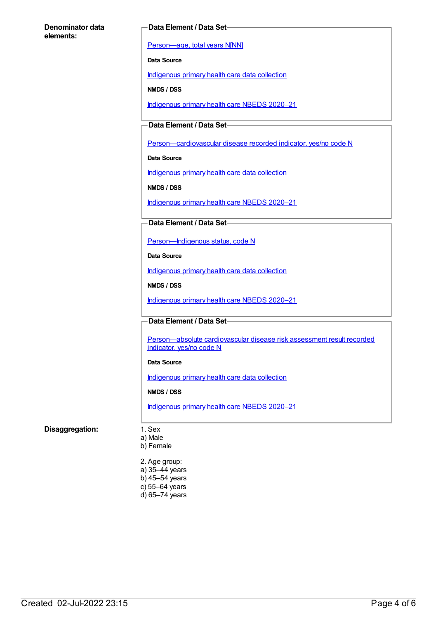#### **Denominator data elements:**

#### **Data Element / Data Set**

[Person—age,](https://meteor.aihw.gov.au/content/303794) total years N[NN]

**Data Source**

[Indigenous](https://meteor.aihw.gov.au/content/430643) primary health care data collection

**NMDS / DSS**

[Indigenous](https://meteor.aihw.gov.au/content/715320) primary health care NBEDS 2020–21

**Data Element / Data Set**

[Person—cardiovascular](https://meteor.aihw.gov.au/content/465948) disease recorded indicator, yes/no code N

**Data Source**

[Indigenous](https://meteor.aihw.gov.au/content/430643) primary health care data collection

**NMDS / DSS**

[Indigenous](https://meteor.aihw.gov.au/content/715320) primary health care NBEDS 2020–21

**Data Element / Data Set**

[Person—Indigenous](https://meteor.aihw.gov.au/content/602543) status, code N

**Data Source**

[Indigenous](https://meteor.aihw.gov.au/content/430643) primary health care data collection

**NMDS / DSS**

[Indigenous](https://meteor.aihw.gov.au/content/715320) primary health care NBEDS 2020–21

**Data Element / Data Set**

[Person—absolute](https://meteor.aihw.gov.au/content/699031) cardiovascular disease risk assessment result recorded indicator, yes/no code N

#### **Data Source**

[Indigenous](https://meteor.aihw.gov.au/content/430643) primary health care data collection

**NMDS / DSS**

[Indigenous](https://meteor.aihw.gov.au/content/715320) primary health care NBEDS 2020–21

#### **Disaggregation:** 1. Sex

a) Male

b) Female

2. Age group: a) 35–44 years b) 45–54 years c) 55–64 years

d) 65–74 years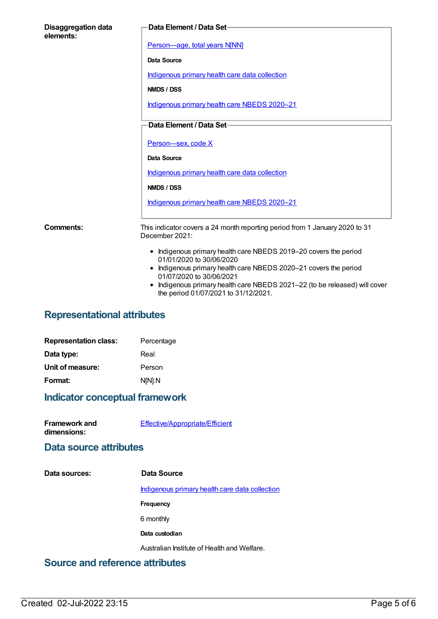| <b>Disaggregation data</b><br>elements: | Data Element / Data Set-                                                                                                                                                                                                                                                                                         |
|-----------------------------------------|------------------------------------------------------------------------------------------------------------------------------------------------------------------------------------------------------------------------------------------------------------------------------------------------------------------|
|                                         | Person-age, total years N[NN]                                                                                                                                                                                                                                                                                    |
|                                         | Data Source                                                                                                                                                                                                                                                                                                      |
|                                         | Indigenous primary health care data collection                                                                                                                                                                                                                                                                   |
|                                         | NMDS / DSS                                                                                                                                                                                                                                                                                                       |
|                                         | Indigenous primary health care NBEDS 2020-21                                                                                                                                                                                                                                                                     |
|                                         | Data Element / Data Set-                                                                                                                                                                                                                                                                                         |
|                                         | Person-sex, code X                                                                                                                                                                                                                                                                                               |
|                                         | Data Source                                                                                                                                                                                                                                                                                                      |
|                                         | Indigenous primary health care data collection                                                                                                                                                                                                                                                                   |
|                                         | NMDS / DSS                                                                                                                                                                                                                                                                                                       |
|                                         | Indigenous primary health care NBEDS 2020-21                                                                                                                                                                                                                                                                     |
| Comments:                               | This indicator covers a 24 month reporting period from 1 January 2020 to 31<br>December 2021:                                                                                                                                                                                                                    |
|                                         | • Indigenous primary health care NBEDS 2019-20 covers the period<br>01/01/2020 to 30/06/2020<br>• Indigenous primary health care NBEDS 2020-21 covers the period<br>01/07/2020 to 30/06/2021<br>Indigenous primary health care NBEDS 2021-22 (to be released) will cover<br>the period 01/07/2021 to 31/12/2021. |

# **Representational attributes**

| Percentage |
|------------|
| Real       |
| Person     |
| N[N].N     |
|            |

### **Indicator conceptual framework**

| <b>Framework and</b> | Effective/Appropriate/Efficient |
|----------------------|---------------------------------|
| dimensions:          |                                 |

### **Data source attributes**

**Data sources: Data Source** [Indigenous](https://meteor.aihw.gov.au/content/430643) primary health care data collection **Frequency** 6 monthly **Data custodian** Australian Institute of Health and Welfare. **Source and reference attributes**